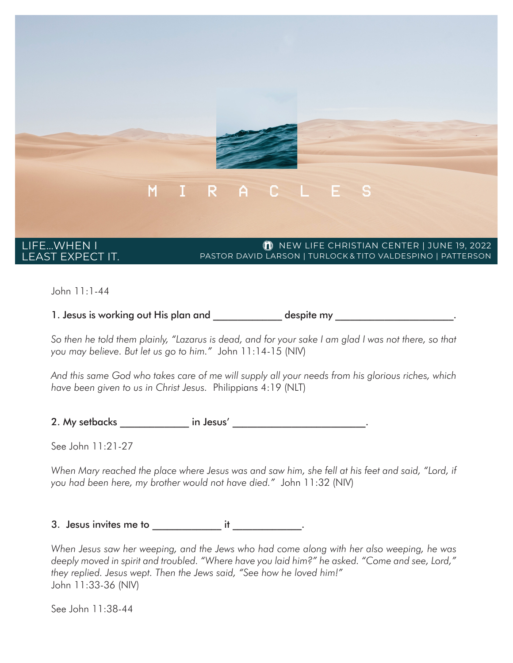

John 11:1-44

1. Jesus is working out His plan and  $\qquad \qquad$  despite my  $\qquad \qquad \ldots$ 

*So then he told them plainly, "Lazarus is dead, and for your sake I am glad I was not there, so that you may believe. But let us go to him."* John 11:14-15 (NIV)

*And this same God who takes care of me will supply all your needs from his glorious riches, which have been given to us in Christ Jesus.* Philippians 4:19 (NLT)

2. My setbacks and in Jesus' and the set of the set of the set of the set of the set of the set of the set of t

See John 11:21-27

*When Mary reached the place where Jesus was and saw him, she fell at his feet and said, "Lord, if you had been here, my brother would not have died."* John 11:32 (NIV)

3. Jesus invites me to \_\_\_\_\_\_\_\_\_\_\_\_\_\_ it \_\_\_\_\_\_\_\_\_\_\_\_\_\_.

*When Jesus saw her weeping, and the Jews who had come along with her also weeping, he was deeply moved in spirit and troubled. "Where have you laid him?" he asked. "Come and see, Lord," they replied. Jesus wept. Then the Jews said, "See how he loved him!"*  John 11:33-36 (NIV)

See John 11:38-44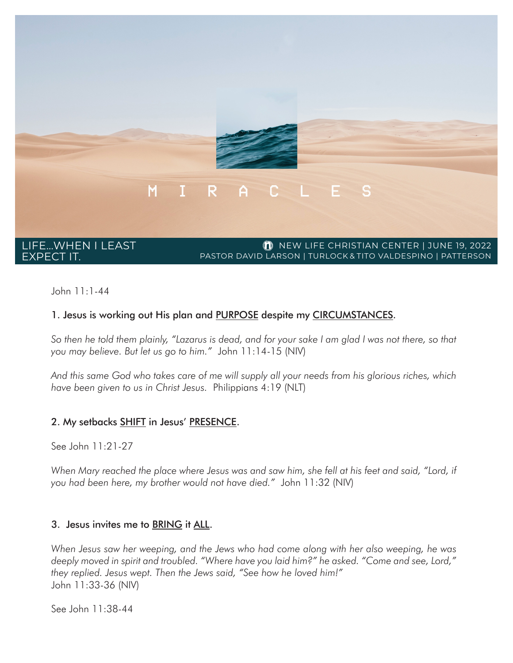

John 11:1-44

#### 1. Jesus is working out His plan and PURPOSE despite my CIRCUMSTANCES.

*So then he told them plainly, "Lazarus is dead, and for your sake I am glad I was not there, so that you may believe. But let us go to him."* John 11:14-15 (NIV)

*And this same God who takes care of me will supply all your needs from his glorious riches, which have been given to us in Christ Jesus.* Philippians 4:19 (NLT)

#### 2. My setbacks SHIFT in Jesus' PRESENCE.

See John 11:21-27

*When Mary reached the place where Jesus was and saw him, she fell at his feet and said, "Lord, if you had been here, my brother would not have died."* John 11:32 (NIV)

#### 3. Jesus invites me to BRING it ALL.

*When Jesus saw her weeping, and the Jews who had come along with her also weeping, he was deeply moved in spirit and troubled. "Where have you laid him?" he asked. "Come and see, Lord," they replied. Jesus wept. Then the Jews said, "See how he loved him!"*  John 11:33-36 (NIV)

See John 11:38-44